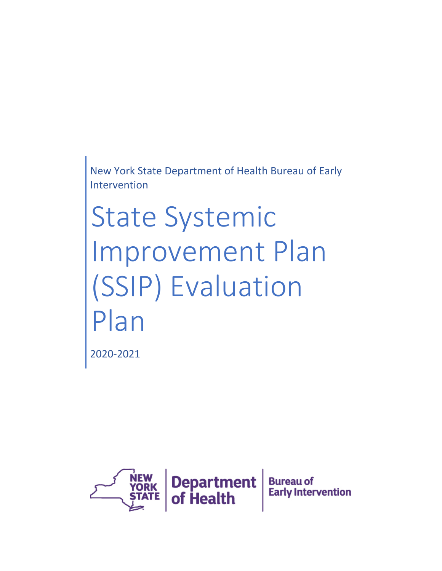New York State Department of Health Bureau of Early Intervention

State Systemic Improvement Plan (SSIP) Evaluation Plan

2020-2021

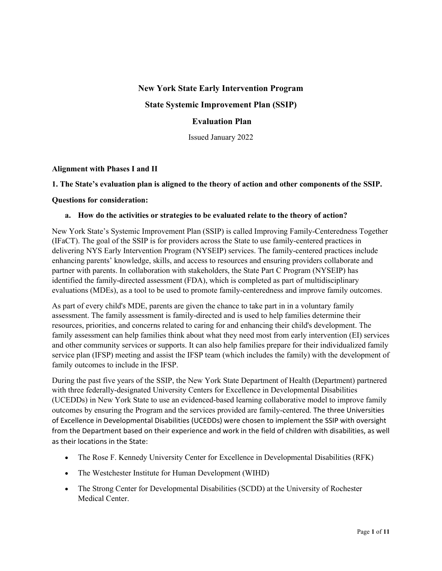### **New York State Early Intervention Program**

# **State Systemic Improvement Plan (SSIP)**

# **Evaluation Plan**

Issued January 2022

### **Alignment with Phases I and II**

#### **1. The State's evaluation plan is aligned to the theory of action and other components of the SSIP.**

#### **Questions for consideration:**

#### **a. How do the activities or strategies to be evaluated relate to the theory of action?**

New York State's Systemic Improvement Plan (SSIP) is called Improving Family-Centeredness Together (IFaCT). The goal of the SSIP is for providers across the State to use family-centered practices in delivering NYS Early Intervention Program (NYSEIP) services. The family-centered practices include enhancing parents' knowledge, skills, and access to resources and ensuring providers collaborate and partner with parents. In collaboration with stakeholders, the State Part C Program (NYSEIP) has identified the family-directed assessment (FDA), which is completed as part of multidisciplinary evaluations (MDEs), as a tool to be used to promote family-centeredness and improve family outcomes.

As part of every child's MDE, parents are given the chance to take part in in a voluntary family assessment. The family assessment is family-directed and is used to help families determine their resources, priorities, and concerns related to caring for and enhancing their child's development. The family assessment can help families think about what they need most from early intervention (EI) services and other community services or supports. It can also help families prepare for their individualized family service plan (IFSP) meeting and assist the IFSP team (which includes the family) with the development of family outcomes to include in the IFSP.

During the past five years of the SSIP, the New York State Department of Health (Department) partnered with three federally-designated University Centers for Excellence in Developmental Disabilities (UCEDDs) in New York State to use an evidenced-based learning collaborative model to improve family outcomes by ensuring the Program and the services provided are family-centered. The three Universities of Excellence in Developmental Disabilities (UCEDDs) were chosen to implement the SSIP with oversight from the Department based on their experience and work in the field of children with disabilities, as well as their locations in the State:

- The Rose F. Kennedy University Center for Excellence in Developmental Disabilities (RFK)
- The Westchester Institute for Human Development (WIHD)
- The Strong Center for Developmental Disabilities (SCDD) at the University of Rochester Medical Center.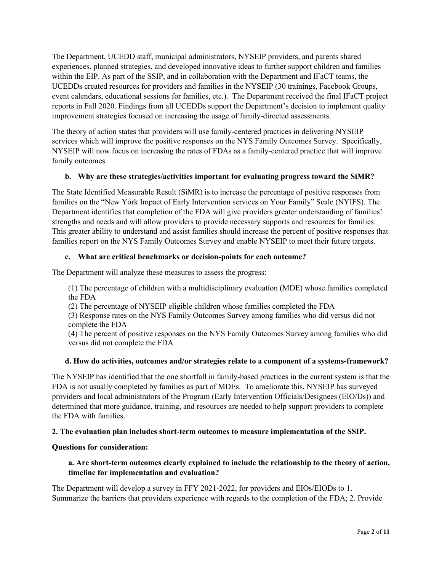The Department, UCEDD staff, municipal administrators, NYSEIP providers, and parents shared experiences, planned strategies, and developed innovative ideas to further support children and families within the EIP. As part of the SSIP, and in collaboration with the Department and IFaCT teams, the UCEDDs created resources for providers and families in the NYSEIP (30 trainings, Facebook Groups, event calendars, educational sessions for families, etc.). The Department received the final IFaCT project reports in Fall 2020. Findings from all UCEDDs support the Department's decision to implement quality improvement strategies focused on increasing the usage of family-directed assessments.

The theory of action states that providers will use family-centered practices in delivering NYSEIP services which will improve the positive responses on the NYS Family Outcomes Survey. Specifically, NYSEIP will now focus on increasing the rates of FDAs as a family-centered practice that will improve family outcomes.

# **b. Why are these strategies/activities important for evaluating progress toward the SiMR?**

The State Identified Measurable Result (SiMR) is to increase the percentage of positive responses from families on the "New York Impact of Early Intervention services on Your Family" Scale (NYIFS). The Department identifies that completion of the FDA will give providers greater understanding of families' strengths and needs and will allow providers to provide necessary supports and resources for families. This greater ability to understand and assist families should increase the percent of positive responses that families report on the NYS Family Outcomes Survey and enable NYSEIP to meet their future targets.

# **c. What are critical benchmarks or decision-points for each outcome?**

The Department will analyze these measures to assess the progress:

(1) The percentage of children with a multidisciplinary evaluation (MDE) whose families completed the FDA

(2) The percentage of NYSEIP eligible children whose families completed the FDA

(3) Response rates on the NYS Family Outcomes Survey among families who did versus did not complete the FDA

(4) The percent of positive responses on the NYS Family Outcomes Survey among families who did versus did not complete the FDA

### **d. How do activities, outcomes and/or strategies relate to a component of a systems-framework?**

The NYSEIP has identified that the one shortfall in family-based practices in the current system is that the FDA is not usually completed by families as part of MDEs. To ameliorate this, NYSEIP has surveyed providers and local administrators of the Program (Early Intervention Officials/Designees (EIO/Ds)) and determined that more guidance, training, and resources are needed to help support providers to complete the FDA with families.

### **2. The evaluation plan includes short-term outcomes to measure implementation of the SSIP.**

### **Questions for consideration:**

# **a. Are short-term outcomes clearly explained to include the relationship to the theory of action, timeline for implementation and evaluation?**

The Department will develop a survey in FFY 2021-2022, for providers and EIOs/EIODs to 1. Summarize the barriers that providers experience with regards to the completion of the FDA; 2. Provide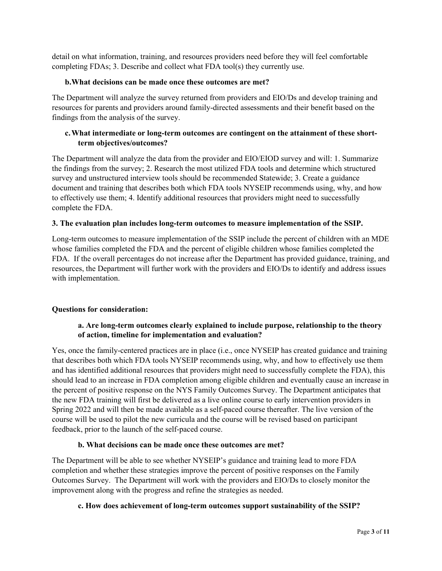detail on what information, training, and resources providers need before they will feel comfortable completing FDAs; 3. Describe and collect what FDA tool(s) they currently use.

### **b.What decisions can be made once these outcomes are met?**

The Department will analyze the survey returned from providers and EIO/Ds and develop training and resources for parents and providers around family-directed assessments and their benefit based on the findings from the analysis of the survey.

# **c.What intermediate or long-term outcomes are contingent on the attainment of these shortterm objectives/outcomes?**

The Department will analyze the data from the provider and EIO/EIOD survey and will: 1. Summarize the findings from the survey; 2. Research the most utilized FDA tools and determine which structured survey and unstructured interview tools should be recommended Statewide; 3. Create a guidance document and training that describes both which FDA tools NYSEIP recommends using, why, and how to effectively use them; 4. Identify additional resources that providers might need to successfully complete the FDA.

# **3. The evaluation plan includes long-term outcomes to measure implementation of the SSIP.**

Long-term outcomes to measure implementation of the SSIP include the percent of children with an MDE whose families completed the FDA and the percent of eligible children whose families completed the FDA. If the overall percentages do not increase after the Department has provided guidance, training, and resources, the Department will further work with the providers and EIO/Ds to identify and address issues with implementation.

### **Questions for consideration:**

# **a. Are long-term outcomes clearly explained to include purpose, relationship to the theory of action, timeline for implementation and evaluation?**

Yes, once the family-centered practices are in place (i.e., once NYSEIP has created guidance and training that describes both which FDA tools NYSEIP recommends using, why, and how to effectively use them and has identified additional resources that providers might need to successfully complete the FDA), this should lead to an increase in FDA completion among eligible children and eventually cause an increase in the percent of positive response on the NYS Family Outcomes Survey. The Department anticipates that the new FDA training will first be delivered as a live online course to early intervention providers in Spring 2022 and will then be made available as a self-paced course thereafter. The live version of the course will be used to pilot the new curricula and the course will be revised based on participant feedback, prior to the launch of the self-paced course.

### **b. What decisions can be made once these outcomes are met?**

The Department will be able to see whether NYSEIP's guidance and training lead to more FDA completion and whether these strategies improve the percent of positive responses on the Family Outcomes Survey. The Department will work with the providers and EIO/Ds to closely monitor the improvement along with the progress and refine the strategies as needed.

### **c. How does achievement of long-term outcomes support sustainability of the SSIP?**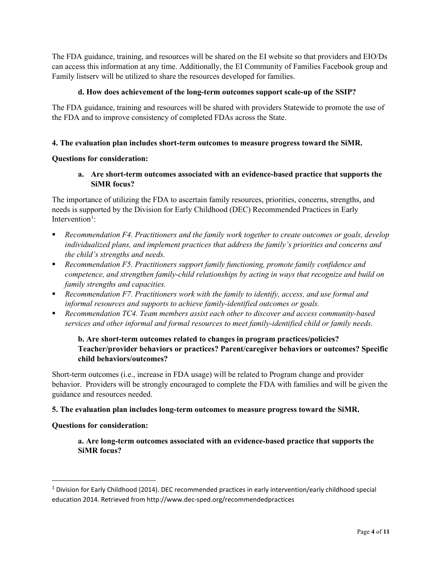The FDA guidance, training, and resources will be shared on the EI website so that providers and EIO/Ds can access this information at any time. Additionally, the EI Community of Families Facebook group and Family listserv will be utilized to share the resources developed for families.

### **d. How does achievement of the long-term outcomes support scale-up of the SSIP?**

The FDA guidance, training and resources will be shared with providers Statewide to promote the use of the FDA and to improve consistency of completed FDAs across the State.

### **4. The evaluation plan includes short-term outcomes to measure progress toward the SiMR.**

### **Questions for consideration:**

**a. Are short-term outcomes associated with an evidence-based practice that supports the SiMR focus?**

The importance of utilizing the FDA to ascertain family resources, priorities, concerns, strengths, and needs is supported by the Division for Early Childhood (DEC) Recommended Practices in Early Intervention<sup>[1](#page-4-0)</sup>:

- *Recommendation F4. Practitioners and the family work together to create outcomes or goals, develop individualized plans, and implement practices that address the family's priorities and concerns and the child's strengths and needs.*
- *Recommendation F5. Practitioners support family functioning, promote family confidence and competence, and strengthen family-child relationships by acting in ways that recognize and build on family strengths and capacities.*
- *Recommendation F7. Practitioners work with the family to identify, access, and use formal and informal resources and supports to achieve family-identified outcomes or goals.*
- *Recommendation TC4. Team members assist each other to discover and access community-based services and other informal and formal resources to meet family-identified child or family needs.*

# **b. Are short-term outcomes related to changes in program practices/policies? Teacher/provider behaviors or practices? Parent/caregiver behaviors or outcomes? Specific child behaviors/outcomes?**

Short-term outcomes (i.e., increase in FDA usage) will be related to Program change and provider behavior. Providers will be strongly encouraged to complete the FDA with families and will be given the guidance and resources needed.

### **5. The evaluation plan includes long-term outcomes to measure progress toward the SiMR.**

### **Questions for consideration:**

**a. Are long-term outcomes associated with an evidence-based practice that supports the SiMR focus?**

<span id="page-4-0"></span><sup>1</sup> Division for Early Childhood (2014). DEC recommended practices in early intervention/early childhood special education 2014. Retrieved from http://www.dec-sped.org/recommendedpractices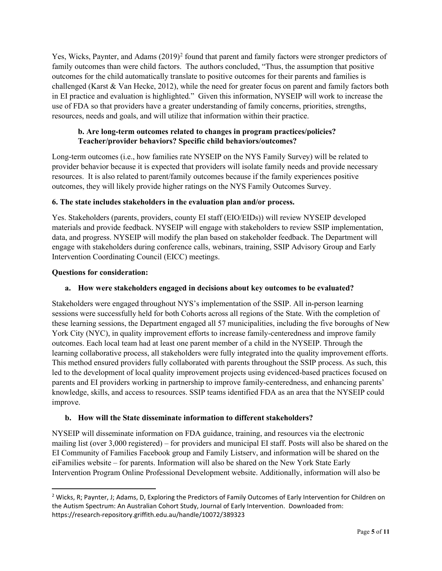Yes, Wicks, Paynter, and Adams ([2](#page-5-0)019)<sup>2</sup> found that parent and family factors were stronger predictors of family outcomes than were child factors. The authors concluded, "Thus, the assumption that positive outcomes for the child automatically translate to positive outcomes for their parents and families is challenged (Karst & Van Hecke, 2012), while the need for greater focus on parent and family factors both in EI practice and evaluation is highlighted." Given this information, NYSEIP will work to increase the use of FDA so that providers have a greater understanding of family concerns, priorities, strengths, resources, needs and goals, and will utilize that information within their practice.

# **b. Are long-term outcomes related to changes in program practices/policies? Teacher/provider behaviors? Specific child behaviors/outcomes?**

Long-term outcomes (i.e., how families rate NYSEIP on the NYS Family Survey) will be related to provider behavior because it is expected that providers will isolate family needs and provide necessary resources. It is also related to parent/family outcomes because if the family experiences positive outcomes, they will likely provide higher ratings on the NYS Family Outcomes Survey.

# **6. The state includes stakeholders in the evaluation plan and/or process.**

Yes. Stakeholders (parents, providers, county EI staff (EIO/EIDs)) will review NYSEIP developed materials and provide feedback. NYSEIP will engage with stakeholders to review SSIP implementation, data, and progress. NYSEIP will modify the plan based on stakeholder feedback. The Department will engage with stakeholders during conference calls, webinars, training, SSIP Advisory Group and Early Intervention Coordinating Council (EICC) meetings.

# **Questions for consideration:**

# **a. How were stakeholders engaged in decisions about key outcomes to be evaluated?**

Stakeholders were engaged throughout NYS's implementation of the SSIP. All in-person learning sessions were successfully held for both Cohorts across all regions of the State. With the completion of these learning sessions, the Department engaged all 57 municipalities, including the five boroughs of New York City (NYC), in quality improvement efforts to increase family-centeredness and improve family outcomes. Each local team had at least one parent member of a child in the NYSEIP. Through the learning collaborative process, all stakeholders were fully integrated into the quality improvement efforts. This method ensured providers fully collaborated with parents throughout the SSIP process. As such, this led to the development of local quality improvement projects using evidenced-based practices focused on parents and EI providers working in partnership to improve family-centeredness, and enhancing parents' knowledge, skills, and access to resources. SSIP teams identified FDA as an area that the NYSEIP could improve.

# **b. How will the State disseminate information to different stakeholders?**

NYSEIP will disseminate information on FDA guidance, training, and resources via the electronic mailing list (over 3,000 registered) – for providers and municipal EI staff. Posts will also be shared on the EI Community of Families Facebook group and Family Listserv, and information will be shared on the eiFamilies website – for parents. Information will also be shared on the New York State Early Intervention Program Online Professional Development website. Additionally, information will also be

<span id="page-5-0"></span><sup>&</sup>lt;sup>2</sup> Wicks, R; Paynter, J; Adams, D, Exploring the Predictors of Family Outcomes of Early Intervention for Children on the Autism Spectrum: An Australian Cohort Study, Journal of Early Intervention. Downloaded from: https://research-repository.griffith.edu.au/handle/10072/389323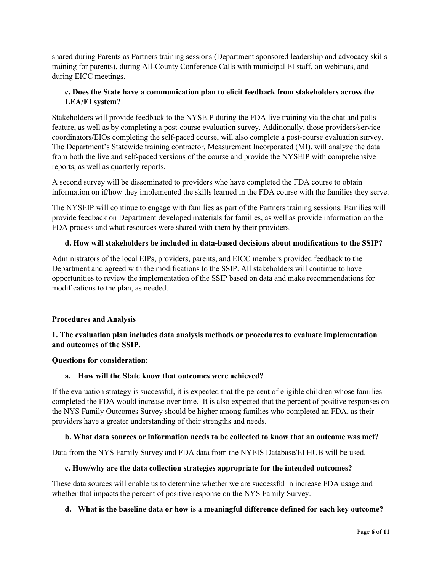shared during Parents as Partners training sessions (Department sponsored leadership and advocacy skills training for parents), during All-County Conference Calls with municipal EI staff, on webinars, and during EICC meetings.

# **c. Does the State have a communication plan to elicit feedback from stakeholders across the LEA/EI system?**

Stakeholders will provide feedback to the NYSEIP during the FDA live training via the chat and polls feature, as well as by completing a post-course evaluation survey. Additionally, those providers/service coordinators/EIOs completing the self-paced course, will also complete a post-course evaluation survey. The Department's Statewide training contractor, Measurement Incorporated (MI), will analyze the data from both the live and self-paced versions of the course and provide the NYSEIP with comprehensive reports, as well as quarterly reports.

A second survey will be disseminated to providers who have completed the FDA course to obtain information on if/how they implemented the skills learned in the FDA course with the families they serve.

The NYSEIP will continue to engage with families as part of the Partners training sessions. Families will provide feedback on Department developed materials for families, as well as provide information on the FDA process and what resources were shared with them by their providers.

# **d. How will stakeholders be included in data-based decisions about modifications to the SSIP?**

Administrators of the local EIPs, providers, parents, and EICC members provided feedback to the Department and agreed with the modifications to the SSIP. All stakeholders will continue to have opportunities to review the implementation of the SSIP based on data and make recommendations for modifications to the plan, as needed.

### **Procedures and Analysis**

# **1. The evaluation plan includes data analysis methods or procedures to evaluate implementation and outcomes of the SSIP.**

### **Questions for consideration:**

### **a. How will the State know that outcomes were achieved?**

If the evaluation strategy is successful, it is expected that the percent of eligible children whose families completed the FDA would increase over time. It is also expected that the percent of positive responses on the NYS Family Outcomes Survey should be higher among families who completed an FDA, as their providers have a greater understanding of their strengths and needs.

### **b. What data sources or information needs to be collected to know that an outcome was met?**

Data from the NYS Family Survey and FDA data from the NYEIS Database/EI HUB will be used.

### **c. How/why are the data collection strategies appropriate for the intended outcomes?**

These data sources will enable us to determine whether we are successful in increase FDA usage and whether that impacts the percent of positive response on the NYS Family Survey.

### **d. What is the baseline data or how is a meaningful difference defined for each key outcome?**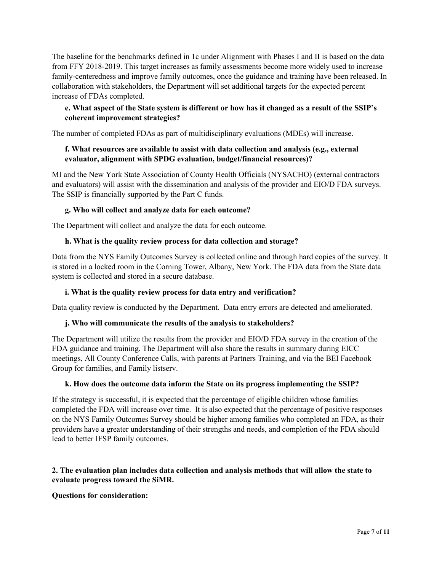The baseline for the benchmarks defined in 1c under Alignment with Phases I and II is based on the data from FFY 2018-2019. This target increases as family assessments become more widely used to increase family-centeredness and improve family outcomes, once the guidance and training have been released. In collaboration with stakeholders, the Department will set additional targets for the expected percent increase of FDAs completed.

# **e. What aspect of the State system is different or how has it changed as a result of the SSIP's coherent improvement strategies?**

The number of completed FDAs as part of multidisciplinary evaluations (MDEs) will increase.

# **f. What resources are available to assist with data collection and analysis (e.g., external evaluator, alignment with SPDG evaluation, budget/financial resources)?**

MI and the New York State Association of County Health Officials (NYSACHO) (external contractors and evaluators) will assist with the dissemination and analysis of the provider and EIO/D FDA surveys. The SSIP is financially supported by the Part C funds.

# **g. Who will collect and analyze data for each outcome?**

The Department will collect and analyze the data for each outcome.

# **h. What is the quality review process for data collection and storage?**

Data from the NYS Family Outcomes Survey is collected online and through hard copies of the survey. It is stored in a locked room in the Corning Tower, Albany, New York. The FDA data from the State data system is collected and stored in a secure database.

### **i. What is the quality review process for data entry and verification?**

Data quality review is conducted by the Department. Data entry errors are detected and ameliorated.

### **j. Who will communicate the results of the analysis to stakeholders?**

The Department will utilize the results from the provider and EIO/D FDA survey in the creation of the FDA guidance and training. The Department will also share the results in summary during EICC meetings, All County Conference Calls, with parents at Partners Training, and via the BEI Facebook Group for families, and Family listserv.

### **k. How does the outcome data inform the State on its progress implementing the SSIP?**

If the strategy is successful, it is expected that the percentage of eligible children whose families completed the FDA will increase over time. It is also expected that the percentage of positive responses on the NYS Family Outcomes Survey should be higher among families who completed an FDA, as their providers have a greater understanding of their strengths and needs, and completion of the FDA should lead to better IFSP family outcomes.

# **2. The evaluation plan includes data collection and analysis methods that will allow the state to evaluate progress toward the SiMR.**

### **Questions for consideration:**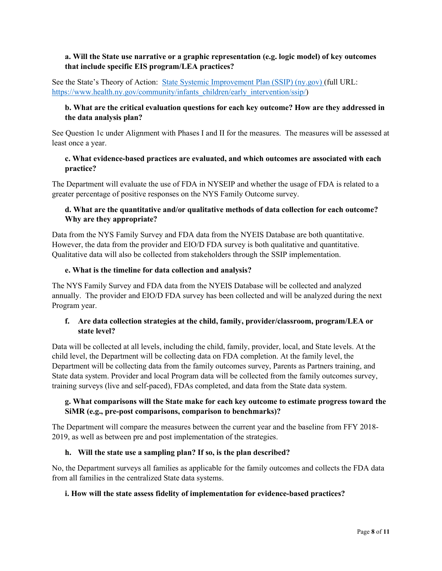# **a. Will the State use narrative or a graphic representation (e.g. logic model) of key outcomes that include specific EIS program/LEA practices?**

See the State's Theory of Action: [State Systemic Improvement Plan \(SSIP\) \(ny.gov\)](https://www.health.ny.gov/community/infants_children/early_intervention/ssip/) (full URL: [https://www.health.ny.gov/community/infants\\_children/early\\_intervention/ssip/\)](https://www.health.ny.gov/community/infants_children/early_intervention/ssip/)

# **b. What are the critical evaluation questions for each key outcome? How are they addressed in the data analysis plan?**

See Question 1c under Alignment with Phases I and II for the measures. The measures will be assessed at least once a year.

### **c. What evidence-based practices are evaluated, and which outcomes are associated with each practice?**

The Department will evaluate the use of FDA in NYSEIP and whether the usage of FDA is related to a greater percentage of positive responses on the NYS Family Outcome survey.

# **d. What are the quantitative and/or qualitative methods of data collection for each outcome? Why are they appropriate?**

Data from the NYS Family Survey and FDA data from the NYEIS Database are both quantitative. However, the data from the provider and EIO/D FDA survey is both qualitative and quantitative. Qualitative data will also be collected from stakeholders through the SSIP implementation.

### **e. What is the timeline for data collection and analysis?**

The NYS Family Survey and FDA data from the NYEIS Database will be collected and analyzed annually. The provider and EIO/D FDA survey has been collected and will be analyzed during the next Program year.

# **f. Are data collection strategies at the child, family, provider/classroom, program/LEA or state level?**

Data will be collected at all levels, including the child, family, provider, local, and State levels. At the child level, the Department will be collecting data on FDA completion. At the family level, the Department will be collecting data from the family outcomes survey, Parents as Partners training, and State data system. Provider and local Program data will be collected from the family outcomes survey, training surveys (live and self-paced), FDAs completed, and data from the State data system.

# **g. What comparisons will the State make for each key outcome to estimate progress toward the SiMR (e.g., pre-post comparisons, comparison to benchmarks)?**

The Department will compare the measures between the current year and the baseline from FFY 2018- 2019, as well as between pre and post implementation of the strategies.

# **h. Will the state use a sampling plan? If so, is the plan described?**

No, the Department surveys all families as applicable for the family outcomes and collects the FDA data from all families in the centralized State data systems.

# **i. How will the state assess fidelity of implementation for evidence-based practices?**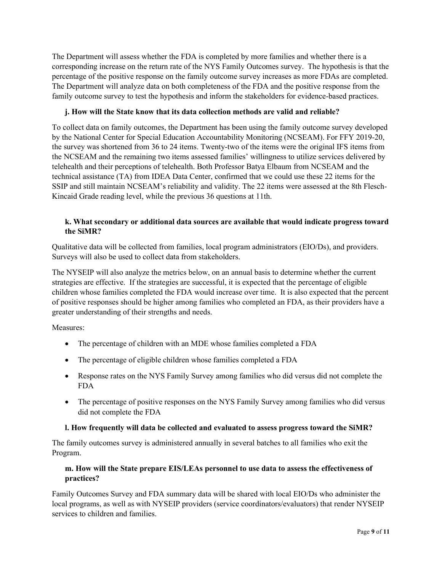The Department will assess whether the FDA is completed by more families and whether there is a corresponding increase on the return rate of the NYS Family Outcomes survey. The hypothesis is that the percentage of the positive response on the family outcome survey increases as more FDAs are completed. The Department will analyze data on both completeness of the FDA and the positive response from the family outcome survey to test the hypothesis and inform the stakeholders for evidence-based practices.

# **j. How will the State know that its data collection methods are valid and reliable?**

To collect data on family outcomes, the Department has been using the family outcome survey developed by the National Center for Special Education Accountability Monitoring (NCSEAM). For FFY 2019-20, the survey was shortened from 36 to 24 items. Twenty-two of the items were the original IFS items from the NCSEAM and the remaining two items assessed families' willingness to utilize services delivered by telehealth and their perceptions of telehealth. Both Professor Batya Elbaum from NCSEAM and the technical assistance (TA) from IDEA Data Center, confirmed that we could use these 22 items for the SSIP and still maintain NCSEAM's reliability and validity. The 22 items were assessed at the 8th Flesch-Kincaid Grade reading level, while the previous 36 questions at 11th.

# **k. What secondary or additional data sources are available that would indicate progress toward the SiMR?**

Qualitative data will be collected from families, local program administrators (EIO/Ds), and providers. Surveys will also be used to collect data from stakeholders.

The NYSEIP will also analyze the metrics below, on an annual basis to determine whether the current strategies are effective. If the strategies are successful, it is expected that the percentage of eligible children whose families completed the FDA would increase over time. It is also expected that the percent of positive responses should be higher among families who completed an FDA, as their providers have a greater understanding of their strengths and needs.

Measures:

- The percentage of children with an MDE whose families completed a FDA
- The percentage of eligible children whose families completed a FDA
- Response rates on the NYS Family Survey among families who did versus did not complete the FDA
- The percentage of positive responses on the NYS Family Survey among families who did versus did not complete the FDA

# **l. How frequently will data be collected and evaluated to assess progress toward the SiMR?**

The family outcomes survey is administered annually in several batches to all families who exit the Program.

# **m. How will the State prepare EIS/LEAs personnel to use data to assess the effectiveness of practices?**

Family Outcomes Survey and FDA summary data will be shared with local EIO/Ds who administer the local programs, as well as with NYSEIP providers (service coordinators/evaluators) that render NYSEIP services to children and families.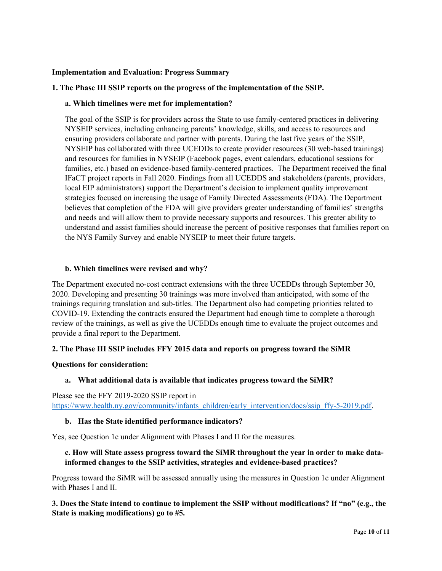#### **Implementation and Evaluation: Progress Summary**

#### **1. The Phase III SSIP reports on the progress of the implementation of the SSIP.**

#### **a. Which timelines were met for implementation?**

The goal of the SSIP is for providers across the State to use family-centered practices in delivering NYSEIP services, including enhancing parents' knowledge, skills, and access to resources and ensuring providers collaborate and partner with parents. During the last five years of the SSIP, NYSEIP has collaborated with three UCEDDs to create provider resources (30 web-based trainings) and resources for families in NYSEIP (Facebook pages, event calendars, educational sessions for families, etc.) based on evidence-based family-centered practices. The Department received the final IFaCT project reports in Fall 2020. Findings from all UCEDDS and stakeholders (parents, providers, local EIP administrators) support the Department's decision to implement quality improvement strategies focused on increasing the usage of Family Directed Assessments (FDA). The Department believes that completion of the FDA will give providers greater understanding of families' strengths and needs and will allow them to provide necessary supports and resources. This greater ability to understand and assist families should increase the percent of positive responses that families report on the NYS Family Survey and enable NYSEIP to meet their future targets.

#### **b. Which timelines were revised and why?**

The Department executed no-cost contract extensions with the three UCEDDs through September 30, 2020. Developing and presenting 30 trainings was more involved than anticipated, with some of the trainings requiring translation and sub-titles. The Department also had competing priorities related to COVID-19. Extending the contracts ensured the Department had enough time to complete a thorough review of the trainings, as well as give the UCEDDs enough time to evaluate the project outcomes and provide a final report to the Department.

### **2. The Phase III SSIP includes FFY 2015 data and reports on progress toward the SiMR**

#### **Questions for consideration:**

### **a. What additional data is available that indicates progress toward the SiMR?**

Please see the FFY 2019-2020 SSIP report in [https://www.health.ny.gov/community/infants\\_children/early\\_intervention/docs/ssip\\_ffy-5-2019.pdf.](https://www.health.ny.gov/community/infants_children/early_intervention/docs/ssip_ffy-5-2019.pdf)

### **b. Has the State identified performance indicators?**

Yes, see Question 1c under Alignment with Phases I and II for the measures.

# **c. How will State assess progress toward the SiMR throughout the year in order to make datainformed changes to the SSIP activities, strategies and evidence-based practices?**

Progress toward the SiMR will be assessed annually using the measures in Question 1c under Alignment with Phases I and II.

# **3. Does the State intend to continue to implement the SSIP without modifications? If "no" (e.g., the State is making modifications) go to #5.**